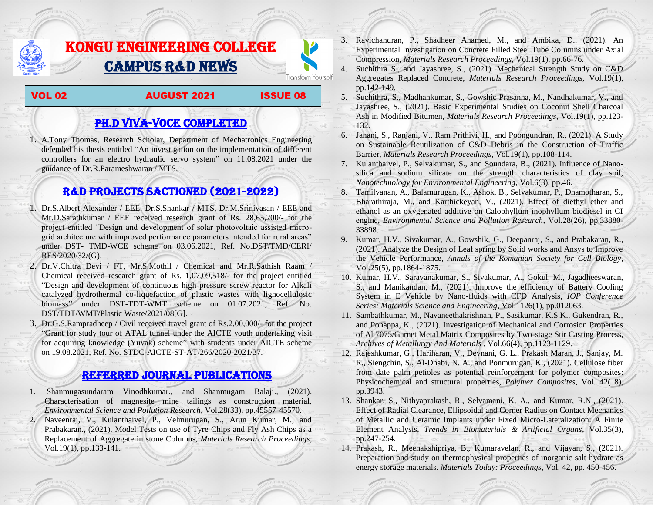# KONGU ENGINEERING COLLEGE CAMPUS R&D NEWS

### VOL 02 AUGUST 2021 ISSUE 08

Transform Yourself

## PH.D VIVA-VOCE COMPLETED

1. A.Tony Thomas, Research Scholar, Department of Mechatronics Engineering defended his thesis entitled "An investigation on the implementation of different controllers for an electro hydraulic servo system" on 11.08.2021 under the guidance of Dr.R.Parameshwaran / MTS.

## R&D PROJECTS SACTIONED (2021-2022)

- 1. Dr.S.Albert Alexander / EEE, Dr.S.Shankar / MTS, Dr.M.Srinivasan / EEE and Mr.D.Sarathkumar / EEE received research grant of Rs. 28,65,200/- for the project entitled "Design and development of solar photovoltaic assisted microgrid architecture with improved performance parameters intended for rural areas" under DST- TMD-WCE scheme on 03.06.2021, Ref. No.DST/TMD/CERI/ RES/2020/32/(G).
- 2. Dr.V.Chitra Devi / FT, Mr.S.Mothil / Chemical and Mr.R.Sathish Raam / Chemical received research grant of Rs. 1,07,09,518/- for the project entitled "Design and development of continuous high pressure screw reactor for Alkali catalyzed hydrothermal co-liquefaction of plastic wastes with lignocellulosic biomass" under DST-TDT-WMT scheme on 01.07.2021, Ref. No. DST/TDT/WMT/Plastic Waste/2021/08[G].
- 3. Dr.G.S.Rampradheep / Civil received travel grant of Rs.2,00,000/- for the project "Grant for study tour of ATAL tunnel under the AICTE youth undertaking visit for acquiring knowledge (Yuvak) scheme" with students under AICTE scheme on 19.08.2021, Ref. No. STDC-AICTE-ST-AT/266/2020-2021/37.

## Referred JOURNAL publications

1. Shanmugasundaram Vinodhkumar., and Shanmugam Balaji., (2021). Characterisation of magnesite mine tailings as construction material, *Environmental Science and Pollution Research*, Vol.28(33), pp.45557-45570. 2. Naveenraj, V., Kulanthaivel, P., Velmurugan, S., Arun Kumar, M., and Prabakaran., (2021). Model Tests on use of Tyre Chips and Fly Ash Chips as a Replacement of Aggregate in stone Columns, *Materials Research Proceedings*, Vol.19(1), pp.133-141.

- 3. Ravichandran, P., Shadheer Ahamed, M., and Ambika, D., (2021). An Experimental Investigation on Concrete Filled Steel Tube Columns under Axial Compression, *Materials Research Proceedings*, Vol.19(1), pp.66-76.
- 4. Suchithra S., and Jayashree, S., (2021). Mechanical Strength Study on C&D Aggregates Replaced Concrete, *Materials Research Proceedings*, Vol.19(1), pp.142-149.
- 5. Suchithra, S., Madhankumar, S., Gowshic Prasanna, M., Nandhakumar, V., and Jayashree, S., (2021). Basic Experimental Studies on Coconut Shell Charcoal Ash in Modified Bitumen, *Materials Research Proceedings*, Vol.19(1), pp.123- 132.
- 6. Janani, S., Ranjani, V., Ram Prithivi, H., and Poongundran, R., (2021). A Study on Sustainable Reutilization of C&D Debris in the Construction of Traffic Barrier, *Materials Research Proceedings*, Vol.19(1), pp.108-114.
- 7. Kulanthaivel, P., Selvakumar, S., and Soundara, B., (2021). Influence of Nanosilica and sodium silicate on the strength characteristics of clay soil, *Nanotechnology for Environmental Engineering*, Vol.6(3), pp.46.
- 8. Tamilvanan, A., Balamurugan, K., Ashok, B., Selvakumar, P., Dhamotharan, S., Bharathiraja, M., and Karthickeyan, V., (2021). Effect of diethyl ether and ethanol as an oxygenated additive on Calophyllum inophyllum biodiesel in CI engine, *Environmental Science and Pollution Research*, Vol.28(26), pp.33880- 33898.
- 9. Kumar, H.V., Sivakumar, A., Gowshik, G., Deepanraj, S., and Prabakaran, R., (2021). Analyze the Design of Leaf spring by Solid works and Ansys to Improve the Vehicle Performance, *Annals of the Romanian Society for Cell Biology*, Vol.25(5), pp.1864-1875.
- 10. Kumar, H.V., Saravanakumar, S., Sivakumar, A., Gokul, M., Jagadheeswaran, S., and Manikandan, M., (2021). Improve the efficiency of Battery Cooling System in E Vehicle by Nano-fluids with CFD Analysis, *IOP Conference Series: Materials Science and Engineering*, Vol.1126(1), pp.012063.
- 11. Sambathkumar, M., Navaneethakrishnan, P., Sasikumar, K.S.K., Gukendran, R., and Ponappa, K., (2021). Investigation of Mechanical and Corrosion Properties of Al 7075/Garnet Metal Matrix Composites by Two-stage Stir Casting Process, *Archives of Metallurgy And Materials* , Vol.66(4), pp.1123-1129.
- 12. Rajeshkumar, G., Hariharan, V., Devnani, G. L., Prakash Maran, J., Sanjay, M. R., Siengchin, S., Al-Dhabi, N. A., and Ponmurugan, K., (2021). Cellulose fiber from date palm petioles as potential reinforcement for polymer composites: Physicochemical and structural properties, *Polymer Composites*, Vol. 42( 8), pp.3943.
- 13. Shankar, S., Nithyaprakash, R., Selvamani, K. A., and Kumar, R.N., (2021). Effect of Radial Clearance, Ellipsoidal and Corner Radius on Contact Mechanics of Metallic and Ceramic Implants under Fixed Micro-Lateralization: A Finite Element Analysis, *Trends in Biomaterials & Artificial Organs*, Vol.35(3), pp.247-254.
- 14. Prakash, R., Meenakshipriya, B., Kumaravelan, R., and Vijayan, S., (2021). Preparation and study on thermophysical properties of inorganic salt hydrate as energy storage materials. *Materials Today: Proceedings*, Vol. 42, pp. 450-456.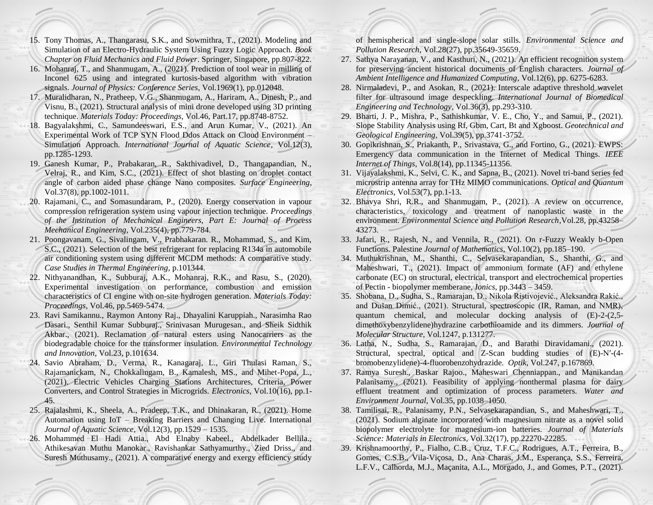- 15. Tony Thomas, A., Thangarasu, S.K., and Sowmithra, T., (2021). Modeling and Simulation of an Electro-Hydraulic System Using Fuzzy Logic Approach. *Book Chapter on Fluid Mechanics and Fluid Power*. Springer, Singapore, pp.807-822.
- 16. Mohanraj, T., and Shanmugam, A., (2021). Prediction of tool wear in milling of Inconel 625 using and integrated kurtosis-based algorithm with vibration signals. *Journal of Physics: Conference Series*, Vol.1969(1), pp.012048.
- 17. Muralidharan, N., Pratheep, V.G., Shanmugam, A., Hariram, A., Dinesh, P., and Visnu, B., (2021). Structural analysis of mini drone developed using 3D printing technique. *Materials Today: Proceedings*, Vol.46, Part.17, pp.8748-8752.
- 18. Bagyalakshmi, C., Samundeeswari, E.S., and Arun Kumar, V., (2021). An Experimental Work of TCP SYN Flood Ddos Attack on Cloud Environment – Simulation Approach. *International Journal of Aquatic Science*, Vol.12(3), pp.1285-1293.
- 19. Ganesh Kumar, P., Prabakaran, R., Sakthivadivel, D., Thangapandian, N., Velraj, R., and Kim, S.C., (2021). Effect of shot blasting on droplet contact angle of carbon aided phase change Nano composites. *Surface Engineering*, Vol.37(8), pp.1002-1011.
- 20. Rajamani, C., and Somasundaram, P., (2020). Energy conservation in vapour compression refrigeration system using vapour injection technique. *Proceedings of the Institution of Mechanical Engineers, Part E: Journal of Process Mechanical Engineering*, Vol.235(4), pp.779-784.
- 21. Poongavanam, G., Sivalingam, V., Prabhakaran. R., Mohammad, S., and Kim, S.C., (2021). Selection of the best refrigerant for replacing R134a in automobile air conditioning system using different MCDM methods: A comparative study. *Case Studies in Thermal Engineering*, p.101344.
- 22. Nithyanandhan, K., Subburaj, A.K., Mohanraj, R.K., and Rasu, S., (2020). Experimental investigation on performance, combustion and emission characteristics of CI engine with on-site hydrogen generation. *Materials Today: Proceedings*, Vol.46, pp.5469-5474.
- 23. Ravi Samikannu., Raymon Antony Raj., Dhayalini Karuppiah., Narasimha Rao Dasari., Senthil Kumar Subburaj., Srinivasan Murugesan., and Sheik Sidthik Akbar., (2021). Reclamation of natural esters using Nanocarriers as the biodegradable choice for the transformer insulation. *Environmental Technology and Innovation*, Vol.23, p.101634.
- 24. Savio Abraham, D., Verma, R., Kanagaraj, L., Giri Thulasi Raman, S., Rajamanickam, N., Chokkalingam, B., Kamalesh, MS., and Mihet-Popa, L., (2021). Electric Vehicles Charging Stations Architectures, Criteria, Power Converters, and Control Strategies in Microgrids. *Electronics*, Vol.10(16), pp.1- 45.
- 25. Rajalashmi, K., Sheela, A., Pradeep, T.K., and Dhinakaran, R., (2021). Home Automation using IoT – Breaking Barriers and Changing Live. International *Journal of Aquatic Science*, Vol.12(3), pp.1529 – 1535.
- 26. Mohammed El Hadi Attia., Abd Elnaby Kabeel., Abdelkader Bellila., Athikesavan Muthu Manokar., Ravishankar Sathyamurthy., Zied Driss., and Suresh Muthusamy., (2021). A comparative energy and exergy efficiency study

of hemispherical and single-slope solar stills. *Environmental Science and Pollution Research*, Vol.28(27), pp.35649-35659.

- 27. Sathya Narayanan, V., and Kasthuri, N., (2021). An efficient recognition system for preserving ancient historical documents of English characters. *Journal of Ambient Intelligence and Humanized Computing*, Vol.12(6), pp. 6275-6283.
- 28. Nirmaladevi, P., and Asokan, R., (2021). Interscale adaptive threshold wavelet filter for ultrasound image despeckling. *International Journal of Biomedical Engineering and Technology*, Vol.36(3), pp.293-310.
- 29. Bharti, J. P., Mishra, P., Sathishkumar, V. E., Cho, Y., and Samui, P., (2021). Slope Stability Analysis using Rf, Gbm, Cart, Bt and Xgboost. *Geotechnical and Geological Engineering*, Vol.39(5), pp.3741-3752.
- 30. Gopikrishnan, S., Priakanth, P., Srivastava, G., and Fortino, G., (2021). EWPS: Emergency data communication in the Internet of Medical Things. *IEEE Internet of Things*, Vol.8(14), pp.11345-11356.
- 31. Vijayalakshmi, K., Selvi, C. K., and Sapna, B., (2021). Novel tri-band series fed microstrip antenna array for THz MIMO communications. *Optical and Quantum Electronics*, Vol.53(7), pp.1-13.
- 32. Bhavya Shri, R.R., and Shanmugam, P., (2021). A review on occurrence, characteristics, toxicology and treatment of nanoplastic waste in the environment. *Environmental Science and Pollution Research*,Vol.28, pp.43258– 43273.
- 33. Jafari, R., Rajesh, N., and Vennila, R., (2021). On r-Fuzzy Weakly b-Open Functions. Palestine *Journal of Mathematics*, Vol.10(2), pp.185–190.
- 34. Muthukrishnan, M., Shanthi, C., Selvasekarapandian, S., Shanthi, G., and Maheshwari, T., (2021). Impact of ammonium formate (AF) and ethylene carbonate (EC) on structural, electrical, transport and electrochemical properties of Pectin - biopolymer memberane, *Ionics*, pp.3443 – 3459.
- 35. Shobana, D., Sudha, S., Ramarajan, D., Nikola Ristivojević., Aleksandra Rakić., and Dušan Dimić., (2021). Structural, spectroscopic (IR, Raman, and NMR), quantum chemical, and molecular docking analysis of (E)-2-(2,5 dimethoxybenzylidene)hydrazine carbothioamide and its dimmers. *Journal of Molecular Structure*, Vol.1247, p.131277.
- 36. Latha, N., Sudha, S., Ramarajan, D., and Barathi Diravidamani., (2021). Structural, spectral, optical and Z-Scan budding studies of (E)-N′-(4 bromobenzylidene)-4-fluorobenzohydrazide. *Optik*, Vol.247, p.167869.
- 37. Ramya Suresh., Baskar Rajoo., Maheswari Chenniappan., and Manikandan Palanisamy., (2021). Feasibility of applying nonthermal plasma for dairy effluent treatment and optimization of process parameters. *Water and Environment Journal*, Vol.35, pp.1038–1050.
- 38. Tamilisai, R., Palanisamy, P.N., Selvasekarapandian, S., and Maheshwari, T., (2021). Sodium alginate incorporated with magnesium nitrate as a novel solid biopolymer electrolyte for magnesium-ion batteries. *Journal of Materials Science: Materials in Electronics*, Vol.32(17), pp.22270-22285.
- 39. Krishnamoorthy, P., Fialho, C.B., Cruz, T.F.C., Rodrigues, A.T., Ferreira, B., Gomes, C.S.B., Vila-Viçosa, D., Ana Charas, J.M., Esperança, S.S., Ferreira, L.F.V., Calhorda, M.J., Maçanita, A.L., Morgado, J., and Gomes, P.T., (2021).